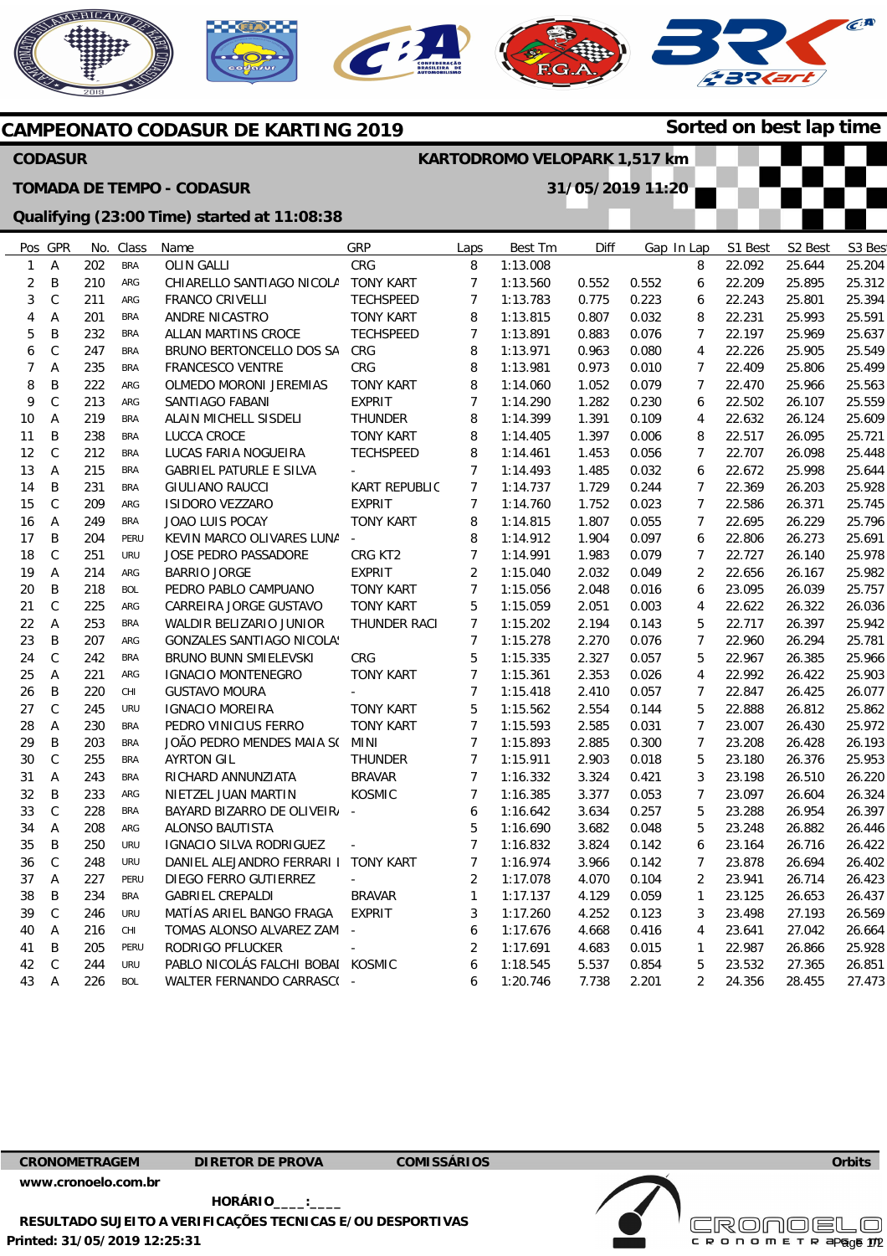









| Sorted on best lap time<br><b>CAMPEONATO CODASUR DE KARTING 2019</b> |                                                |            |            |                                                |                          |                     |          |       |       |            |                  |         |        |
|----------------------------------------------------------------------|------------------------------------------------|------------|------------|------------------------------------------------|--------------------------|---------------------|----------|-------|-------|------------|------------------|---------|--------|
|                                                                      | <b>CODASUR</b><br>KARTODROMO VELOPARK 1,517 km |            |            |                                                |                          |                     |          |       |       |            |                  |         |        |
|                                                                      |                                                |            |            | <b>TOMADA DE TEMPO - CODASUR</b>               | 31/05/2019 11:20         |                     |          |       |       |            |                  |         |        |
| Qualifying (23:00 Time) started at 11:08:38                          |                                                |            |            |                                                |                          |                     |          |       |       |            |                  |         |        |
|                                                                      | Pos GPR                                        |            | No. Class  | Name                                           | GRP                      | Laps                | Best Tm  | Diff  |       | Gap In Lap | S1 Best          | S2 Best | S3 Bes |
| $\mathbf{1}$                                                         | Α                                              | 202        | <b>BRA</b> | <b>OLIN GALLI</b>                              | CRG                      | 8                   | 1:13.008 |       |       | 8          | 22.092           | 25.644  | 25.204 |
| 2                                                                    | B                                              | 210        | ARG        | CHIARELLO SANTIAGO NICOLA                      | <b>TONY KART</b>         | $\overline{7}$      | 1:13.560 | 0.552 | 0.552 | 6          | 22.209           | 25.895  | 25.312 |
| 3                                                                    | $\mathsf C$                                    | 211        | ARG        | <b>FRANCO CRIVELLI</b>                         | <b>TECHSPEED</b>         | $\overline{7}$      | 1:13.783 | 0.775 | 0.223 | 6          | 22.243           | 25.801  | 25.394 |
| 4                                                                    | Α                                              | 201        | <b>BRA</b> | ANDRE NICASTRO                                 | <b>TONY KART</b>         | 8                   | 1:13.815 | 0.807 | 0.032 | 8          | 22.231           | 25.993  | 25.591 |
| 5                                                                    | B                                              | 232        | <b>BRA</b> | ALLAN MARTINS CROCE                            | <b>TECHSPEED</b>         | $\overline{7}$      | 1:13.891 | 0.883 | 0.076 | 7          | 22.197           | 25.969  | 25.637 |
| 6                                                                    | $\mathsf C$                                    | 247        | <b>BRA</b> | BRUNO BERTONCELLO DOS SA                       | CRG                      | 8                   | 1:13.971 | 0.963 | 0.080 | 4          | 22.226           | 25.905  | 25.549 |
| 7                                                                    | Α                                              | 235        | <b>BRA</b> | FRANCESCO VENTRE                               | CRG                      | 8                   | 1:13.981 | 0.973 | 0.010 | 7          | 22.409           | 25.806  | 25.499 |
| 8                                                                    | B                                              | 222        | ARG        | OLMEDO MORONI JEREMIAS                         | <b>TONY KART</b>         | 8                   | 1:14.060 | 1.052 | 0.079 | 7          | 22.470           | 25.966  | 25.563 |
| 9                                                                    | $\mathsf C$                                    | 213        | ARG        | SANTIAGO FABANI                                | <b>EXPRIT</b>            | $\overline{7}$      | 1:14.290 | 1.282 | 0.230 | 6          | 22.502           | 26.107  | 25.559 |
| 10                                                                   | A                                              | 219        | <b>BRA</b> | ALAIN MICHELL SISDELI                          | <b>THUNDER</b>           | 8                   | 1:14.399 | 1.391 | 0.109 | 4          | 22.632           | 26.124  | 25.609 |
| 11                                                                   | B                                              | 238        | <b>BRA</b> | <b>LUCCA CROCE</b>                             | <b>TONY KART</b>         | 8                   | 1:14.405 | 1.397 | 0.006 | 8          | 22.517           | 26.095  | 25.721 |
| 12                                                                   | C                                              | 212        | <b>BRA</b> | LUCAS FARIA NOGUEIRA                           | <b>TECHSPEED</b>         | 8                   | 1:14.461 | 1.453 | 0.056 | 7          | 22.707           | 26.098  | 25.448 |
| 13                                                                   | Α                                              | 215        | <b>BRA</b> | <b>GABRIEL PATURLE E SILVA</b>                 |                          | $\overline{7}$      | 1:14.493 | 1.485 | 0.032 | 6          | 22.672           | 25.998  | 25.644 |
| 14                                                                   | B                                              | 231        | <b>BRA</b> | <b>GIULIANO RAUCCI</b>                         | <b>KART REPUBLIC</b>     | $\overline{7}$      | 1:14.737 | 1.729 | 0.244 | 7          | 22.369           | 26.203  | 25.928 |
| 15                                                                   | $\mathsf{C}$                                   | 209        | ARG        | <b>ISIDORO VEZZARO</b>                         | <b>EXPRIT</b>            | $\overline{7}$      | 1:14.760 | 1.752 | 0.023 | 7          | 22.586           | 26.371  | 25.745 |
| 16                                                                   | Α                                              | 249        | <b>BRA</b> | JOAO LUIS POCAY                                | <b>TONY KART</b>         | 8                   | 1:14.815 | 1.807 | 0.055 | 7          | 22.695           | 26.229  | 25.796 |
| 17                                                                   | B                                              | 204        | PERU       | KEVIN MARCO OLIVARES LUNA                      |                          | 8                   | 1:14.912 | 1.904 | 0.097 | 6          | 22.806           | 26.273  | 25.691 |
| 18                                                                   | $\mathsf C$                                    | 251        | <b>URU</b> | JOSE PEDRO PASSADORE                           | CRG KT2                  | $\overline{7}$      | 1:14.991 | 1.983 | 0.079 | 7          | 22.727           | 26.140  | 25.978 |
| 19                                                                   | Α                                              | 214        | ARG        | <b>BARRIO JORGE</b>                            | <b>EXPRIT</b>            | $\overline{2}$      | 1:15.040 | 2.032 | 0.049 | 2          | 22.656           | 26.167  | 25.982 |
| 20                                                                   | B                                              | 218        | <b>BOL</b> | PEDRO PABLO CAMPUANO                           | <b>TONY KART</b>         | $\overline{7}$      | 1:15.056 | 2.048 | 0.016 | 6          | 23.095           | 26.039  | 25.757 |
| 21                                                                   | C                                              | 225        | ARG        | CARREIRA JORGE GUSTAVO                         | <b>TONY KART</b>         | 5                   | 1:15.059 | 2.051 | 0.003 | 4          | 22.622           | 26.322  | 26.036 |
| 22                                                                   | Α                                              | 253        | <b>BRA</b> | WALDIR BELIZARIO JUNIOR                        | THUNDER RACI             | $\overline{7}$      | 1:15.202 | 2.194 | 0.143 | 5          | 22.717           | 26.397  | 25.942 |
| 23                                                                   | B                                              | 207        | ARG        | <b>GONZALES SANTIAGO NICOLA:</b>               |                          | $\overline{7}$      | 1:15.278 | 2.270 | 0.076 | 7          | 22.960           | 26.294  | 25.781 |
| 24                                                                   | $\mathsf C$                                    | 242        | <b>BRA</b> | <b>BRUNO BUNN SMIELEVSKI</b>                   | CRG                      | 5                   | 1:15.335 | 2.327 | 0.057 | 5          | 22.967           | 26.385  | 25.966 |
| 25                                                                   | Α                                              | 221        | ARG        | <b>IGNACIO MONTENEGRO</b>                      | <b>TONY KART</b>         | $\overline{7}$      | 1:15.361 | 2.353 | 0.026 | 4          | 22.992           | 26.422  | 25.903 |
| 26                                                                   | B                                              | 220        | CHI        | <b>GUSTAVO MOURA</b>                           |                          | $\overline{7}$      | 1:15.418 | 2.410 | 0.057 | 7          | 22.847           | 26.425  | 26.077 |
|                                                                      | $\mathsf{C}$                                   |            |            |                                                |                          |                     |          |       |       |            |                  |         |        |
| 27                                                                   |                                                | 245<br>230 | URU        | <b>IGNACIO MOREIRA</b><br>PEDRO VINICIUS FERRO | <b>TONY KART</b>         | 5<br>$\overline{7}$ | 1:15.562 | 2.554 | 0.144 | 5<br>7     | 22.888<br>23.007 | 26.812  | 25.862 |
| 28                                                                   | Α                                              |            | <b>BRA</b> |                                                | <b>TONY KART</b>         |                     | 1:15.593 | 2.585 | 0.031 |            |                  | 26.430  | 25.972 |
| 29                                                                   | B                                              | 203        | <b>BRA</b> | JOÃO PEDRO MENDES MAIA S(                      | MINI                     | 7                   | 1:15.893 | 2.885 | 0.300 | 7          | 23.208<br>23.180 | 26.428  | 26.193 |
| 30                                                                   | $\mathsf C$                                    | 255        | <b>BRA</b> | <b>AYRTON GIL</b>                              | <b>THUNDER</b>           | $\overline{7}$      | 1:15.911 | 2.903 | 0.018 | 5          |                  | 26.376  | 25.953 |
| 31                                                                   | A                                              | 243        | <b>BRA</b> | RICHARD ANNUNZIATA                             | <b>BRAVAR</b>            | $\overline{7}$      | 1:16.332 | 3.324 | 0.421 | 3          | 23.198           | 26.510  | 26.220 |
| 32                                                                   | B                                              | 233        | ARG        | NIETZEL JUAN MARTIN                            | KOSMIC                   | 7                   | 1:16.385 | 3.377 | 0.053 | 7          | 23.097           | 26.604  | 26.324 |
| 33                                                                   | C                                              | 228        | <b>BRA</b> | BAYARD BIZARRO DE OLIVEIR                      | $\overline{\phantom{a}}$ | 6                   | 1:16.642 | 3.634 | 0.257 | 5          | 23.288           | 26.954  | 26.397 |
| 34                                                                   | A                                              | 208        | ARG        | ALONSO BAUTISTA                                |                          | 5                   | 1:16.690 | 3.682 | 0.048 | 5          | 23.248           | 26.882  | 26.446 |
| 35                                                                   | B                                              | 250        | URU        | IGNACIO SILVA RODRIGUEZ                        | $\overline{\phantom{a}}$ | 7                   | 1:16.832 | 3.824 | 0.142 | 6          | 23.164           | 26.716  | 26.422 |
| 36                                                                   | C                                              | 248        | URU        | DANIEL ALEJANDRO FERRARI I                     | <b>TONY KART</b>         | 7                   | 1:16.974 | 3.966 | 0.142 | 7          | 23.878           | 26.694  | 26.402 |
| 37                                                                   | Α                                              | 227        | PERU       | DIEGO FERRO GUTIERREZ                          |                          | 2                   | 1:17.078 | 4.070 | 0.104 | 2          | 23.941           | 26.714  | 26.423 |
| 38                                                                   | Β                                              | 234        | <b>BRA</b> | <b>GABRIEL CREPALDI</b>                        | <b>BRAVAR</b>            | 1                   | 1:17.137 | 4.129 | 0.059 | 1          | 23.125           | 26.653  | 26.437 |
| 39                                                                   | C                                              | 246        | <b>URU</b> | MATÍAS ARIEL BANGO FRAGA                       | <b>EXPRIT</b>            | 3                   | 1:17.260 | 4.252 | 0.123 | 3          | 23.498           | 27.193  | 26.569 |
| 40                                                                   | Α                                              | 216        | CHI        | TOMAS ALONSO ALVAREZ ZAM -                     |                          | 6                   | 1:17.676 | 4.668 | 0.416 | 4          | 23.641           | 27.042  | 26.664 |
| 41                                                                   | Β                                              | 205        | PERU       | RODRIGO PFLUCKER                               |                          | 2                   | 1:17.691 | 4.683 | 0.015 | 1          | 22.987           | 26.866  | 25.928 |
| 42                                                                   | C                                              | 244        | URU        | PABLO NICOLÁS FALCHI BOBAI KOSMIC              |                          | 6                   | 1:18.545 | 5.537 | 0.854 | 5          | 23.532           | 27.365  | 26.851 |
| 43                                                                   | $\mathsf{A}$                                   | 226        | BOL        | WALTER FERNANDO CARRASC( -                     |                          | 6                   | 1:20.746 | 7.738 | 2.201 | 2          | 24.356           | 28.455  | 27.473 |

## **Orbits**

**CRONOMETRAGEM DIRETOR DE PROVA COMISSÁRIOS [www.cronoelo.com.br](http://www.cronoelo.com.br)** 

**Printed: 31/05/2019 12:25:31 HORÁRIO\_\_\_\_:\_\_\_\_ RESULTADO SUJEITO A VERIFICAÇÕES TECNICAS E/OU DESPORTIVAS**